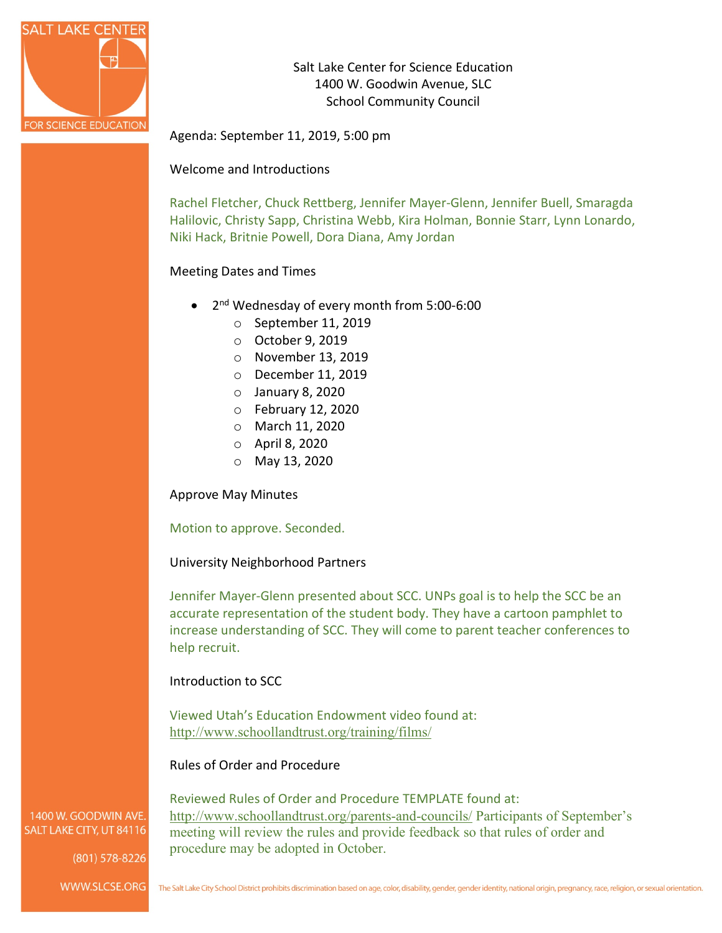

Salt Lake Center for Science Education 1400 W. Goodwin Avenue, SLC School Community Council

Agenda: September 11, 2019, 5:00 pm

## Welcome and Introductions

Rachel Fletcher, Chuck Rettberg, Jennifer Mayer-Glenn, Jennifer Buell, Smaragda Halilovic, Christy Sapp, Christina Webb, Kira Holman, Bonnie Starr, Lynn Lonardo, Niki Hack, Britnie Powell, Dora Diana, Amy Jordan

## Meeting Dates and Times

- 2nd Wednesday of every month from 5:00-6:00
	- o September 11, 2019
	- o October 9, 2019
	- o November 13, 2019
	- o December 11, 2019
	- o January 8, 2020
	- o February 12, 2020
	- o March 11, 2020
	- o April 8, 2020
	- o May 13, 2020

Approve May Minutes

Motion to approve. Seconded.

#### University Neighborhood Partners

Jennifer Mayer-Glenn presented about SCC. UNPs goal is to help the SCC be an accurate representation of the student body. They have a cartoon pamphlet to increase understanding of SCC. They will come to parent teacher conferences to help recruit.

#### Introduction to SCC

Viewed Utah's Education Endowment video found at: <http://www.schoollandtrust.org/training/films/>

## Rules of Order and Procedure

Reviewed Rules of Order and Procedure TEMPLATE found at: <http://www.schoollandtrust.org/parents-and-councils/> Participants of September's meeting will review the rules and provide feedback so that rules of order and procedure may be adopted in October.

1400 W. GOODWIN AVE. SALT LAKE CITY, UT 84116

 $(801)$  578-8226

WWW.SLCSE.ORG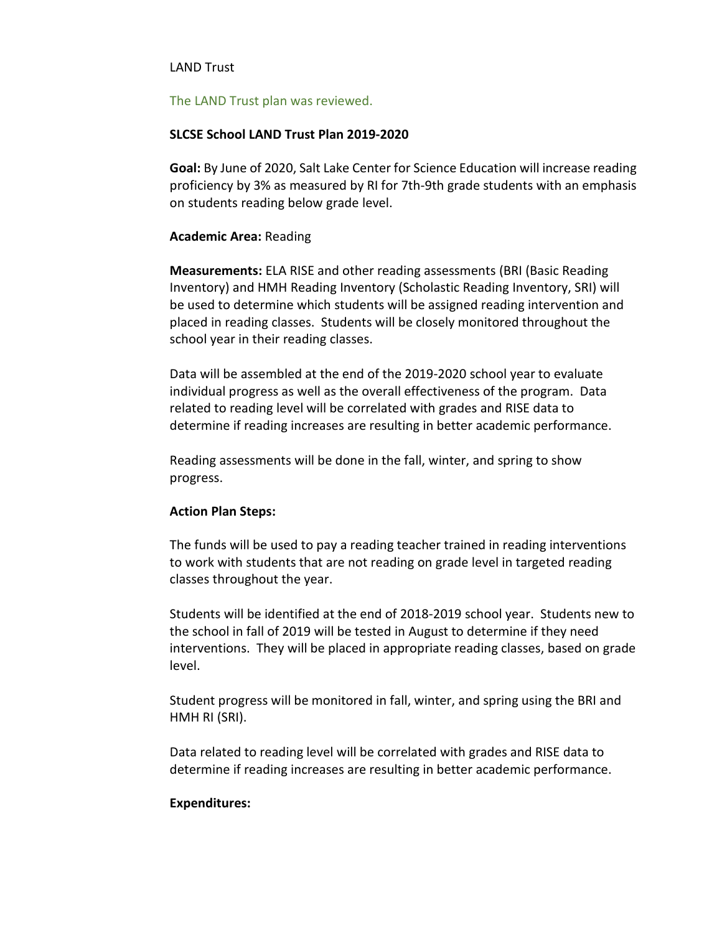## LAND Trust

#### The LAND Trust plan was reviewed.

### **SLCSE School LAND Trust Plan 2019-2020**

**Goal:** By June of 2020, Salt Lake Center for Science Education will increase reading proficiency by 3% as measured by RI for 7th-9th grade students with an emphasis on students reading below grade level.

## **Academic Area:** Reading

**Measurements:** ELA RISE and other reading assessments (BRI (Basic Reading Inventory) and HMH Reading Inventory (Scholastic Reading Inventory, SRI) will be used to determine which students will be assigned reading intervention and placed in reading classes. Students will be closely monitored throughout the school year in their reading classes.

Data will be assembled at the end of the 2019-2020 school year to evaluate individual progress as well as the overall effectiveness of the program. Data related to reading level will be correlated with grades and RISE data to determine if reading increases are resulting in better academic performance.

Reading assessments will be done in the fall, winter, and spring to show progress.

#### **Action Plan Steps:**

The funds will be used to pay a reading teacher trained in reading interventions to work with students that are not reading on grade level in targeted reading classes throughout the year.

Students will be identified at the end of 2018-2019 school year. Students new to the school in fall of 2019 will be tested in August to determine if they need interventions. They will be placed in appropriate reading classes, based on grade level.

Student progress will be monitored in fall, winter, and spring using the BRI and HMH RI (SRI).

Data related to reading level will be correlated with grades and RISE data to determine if reading increases are resulting in better academic performance.

#### **Expenditures:**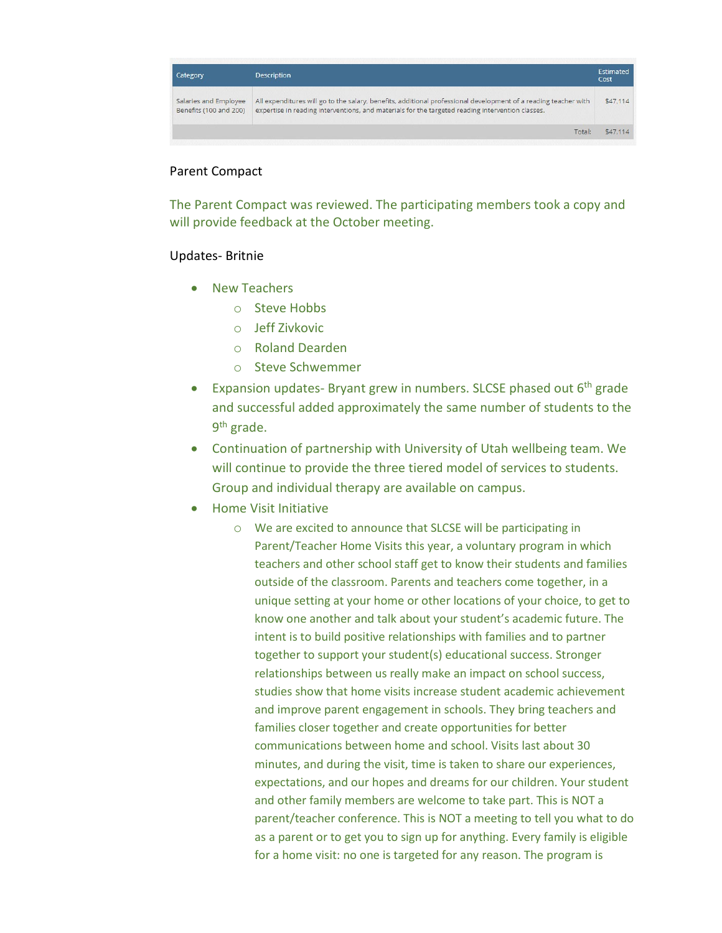

# Parent Compact

The Parent Compact was reviewed. The participating members took a copy and will provide feedback at the October meeting.

## Updates- Britnie

- New Teachers
	- o Steve Hobbs
	- o Jeff Zivkovic
	- o Roland Dearden
	- o Steve Schwemmer
- Expansion updates- Bryant grew in numbers. SLCSE phased out 6<sup>th</sup> grade and successful added approximately the same number of students to the 9th grade.
- Continuation of partnership with University of Utah wellbeing team. We will continue to provide the three tiered model of services to students. Group and individual therapy are available on campus.
- Home Visit Initiative
	- o We are excited to announce that SLCSE will be participating in Parent/Teacher Home Visits this year, a voluntary program in which teachers and other school staff get to know their students and families outside of the classroom. Parents and teachers come together, in a unique setting at your home or other locations of your choice, to get to know one another and talk about your student's academic future. The intent is to build positive relationships with families and to partner together to support your student(s) educational success. Stronger relationships between us really make an impact on school success, studies show that home visits increase student academic achievement and improve parent engagement in schools. They bring teachers and families closer together and create opportunities for better communications between home and school. Visits last about 30 minutes, and during the visit, time is taken to share our experiences, expectations, and our hopes and dreams for our children. Your student and other family members are welcome to take part. This is NOT a parent/teacher conference. This is NOT a meeting to tell you what to do as a parent or to get you to sign up for anything. Every family is eligible for a home visit: no one is targeted for any reason. The program is